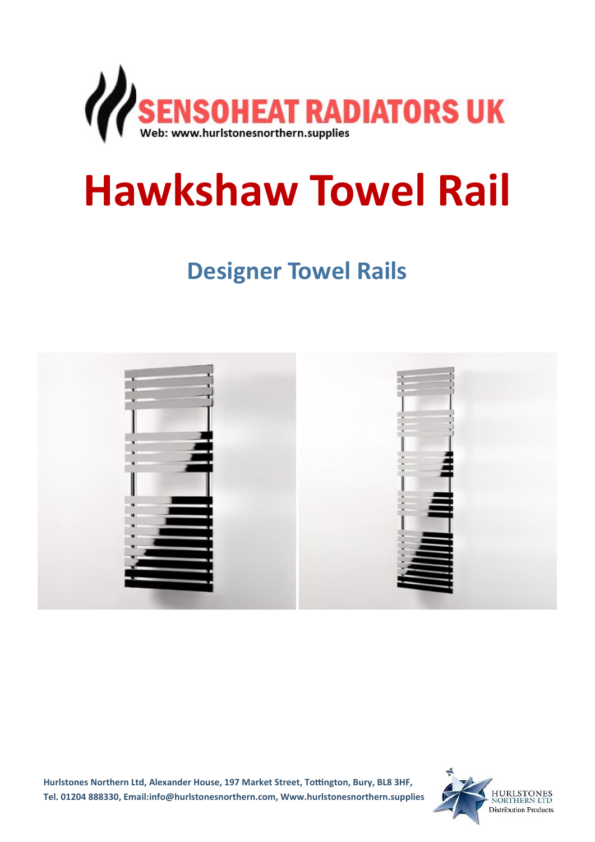

# **Hawkshaw Towel Rail**

**Designer Towel Rails** 



**Hurlstones Northern Ltd, Alexander House, 197 Market Street, Tottington, Bury, BL8 3HF, Tel. 01204 888330, Email:info@hurlstonesnorthern.com, Www.hurlstonesnorthern.supplies**